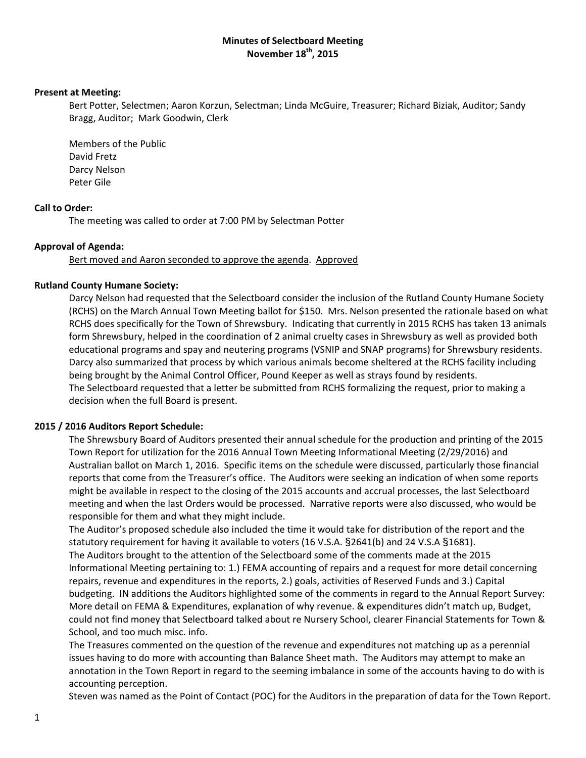# **Minutes of Selectboard Meeting November 18th, 2015**

## **Present at Meeting:**

Bert Potter, Selectmen; Aaron Korzun, Selectman; Linda McGuire, Treasurer; Richard Biziak, Auditor; Sandy Bragg, Auditor; Mark Goodwin, Clerk

Members of the Public David Fretz Darcy Nelson Peter Gile

# **Call to Order:**

The meeting was called to order at 7:00 PM by Selectman Potter

# **Approval of Agenda:**

Bert moved and Aaron seconded to approve the agenda. Approved

# **Rutland County Humane Society:**

Darcy Nelson had requested that the Selectboard consider the inclusion of the Rutland County Humane Society (RCHS) on the March Annual Town Meeting ballot for \$150. Mrs. Nelson presented the rationale based on what RCHS does specifically for the Town of Shrewsbury. Indicating that currently in 2015 RCHS has taken 13 animals form Shrewsbury, helped in the coordination of 2 animal cruelty cases in Shrewsbury as well as provided both educational programs and spay and neutering programs (VSNIP and SNAP programs) for Shrewsbury residents. Darcy also summarized that process by which various animals become sheltered at the RCHS facility including being brought by the Animal Control Officer, Pound Keeper as well as strays found by residents. The Selectboard requested that a letter be submitted from RCHS formalizing the request, prior to making a decision when the full Board is present.

# **2015 / 2016 Auditors Report Schedule:**

The Shrewsbury Board of Auditors presented their annual schedule for the production and printing of the 2015 Town Report for utilization for the 2016 Annual Town Meeting Informational Meeting (2/29/2016) and Australian ballot on March 1, 2016. Specific items on the schedule were discussed, particularly those financial reports that come from the Treasurer's office. The Auditors were seeking an indication of when some reports might be available in respect to the closing of the 2015 accounts and accrual processes, the last Selectboard meeting and when the last Orders would be processed. Narrative reports were also discussed, who would be responsible for them and what they might include.

The Auditor's proposed schedule also included the time it would take for distribution of the report and the statutory requirement for having it available to voters (16 V.S.A. §2641(b) and 24 V.S.A §1681). The Auditors brought to the attention of the Selectboard some of the comments made at the 2015 Informational Meeting pertaining to: 1.) FEMA accounting of repairs and a request for more detail concerning repairs, revenue and expenditures in the reports, 2.) goals, activities of Reserved Funds and 3.) Capital budgeting. IN additions the Auditors highlighted some of the comments in regard to the Annual Report Survey: More detail on FEMA & Expenditures, explanation of why revenue. & expenditures didn't match up, Budget, could not find money that Selectboard talked about re Nursery School, clearer Financial Statements for Town & School, and too much misc. info.

The Treasures commented on the question of the revenue and expenditures not matching up as a perennial issues having to do more with accounting than Balance Sheet math. The Auditors may attempt to make an annotation in the Town Report in regard to the seeming imbalance in some of the accounts having to do with is accounting perception.

Steven was named as the Point of Contact (POC) for the Auditors in the preparation of data for the Town Report.